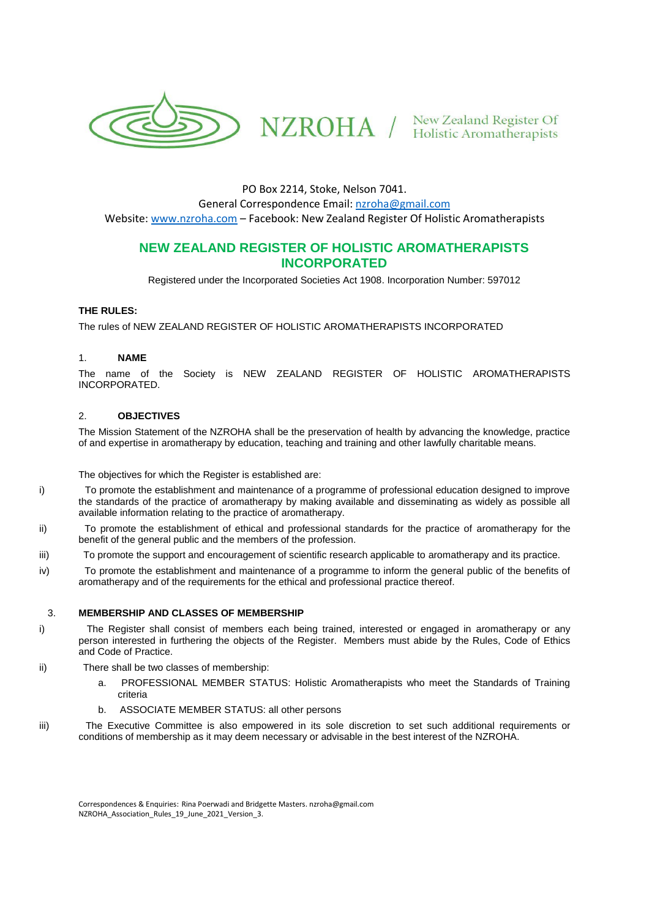

PO Box 2214, Stoke, Nelson 7041. General Correspondence Email: [nzroha@gmail.com](mailto:nzroha@gmail.com) Website: [www.nzroha.com](http://www.nzroha.com/) – Facebook: New Zealand Register Of Holistic Aromatherapists

# **NEW ZEALAND REGISTER OF HOLISTIC AROMATHERAPISTS INCORPORATED**

Registered under the Incorporated Societies Act 1908. Incorporation Number: 597012

### **THE RULES:**

The rules of NEW ZEALAND REGISTER OF HOLISTIC AROMATHERAPISTS INCORPORATED

### 1. **NAME**

The name of the Society is NEW ZEALAND REGISTER OF HOLISTIC AROMATHERAPISTS INCORPORATED.

### 2. **OBJECTIVES**

The Mission Statement of the NZROHA shall be the preservation of health by advancing the knowledge, practice of and expertise in aromatherapy by education, teaching and training and other lawfully charitable means.

The objectives for which the Register is established are:

- i) To promote the establishment and maintenance of a programme of professional education designed to improve the standards of the practice of aromatherapy by making available and disseminating as widely as possible all available information relating to the practice of aromatherapy.
- ii) To promote the establishment of ethical and professional standards for the practice of aromatherapy for the benefit of the general public and the members of the profession.
- iii) To promote the support and encouragement of scientific research applicable to aromatherapy and its practice.
- iv) To promote the establishment and maintenance of a programme to inform the general public of the benefits of aromatherapy and of the requirements for the ethical and professional practice thereof.

# 3. **MEMBERSHIP AND CLASSES OF MEMBERSHIP**

- i) The Register shall consist of members each being trained, interested or engaged in aromatherapy or any person interested in furthering the objects of the Register. Members must abide by the Rules, Code of Ethics and Code of Practice.
- ii) There shall be two classes of membership:
	- a. PROFESSIONAL MEMBER STATUS: Holistic Aromatherapists who meet the Standards of Training criteria
	- b. ASSOCIATE MEMBER STATUS: all other persons
- iii) The Executive Committee is also empowered in its sole discretion to set such additional requirements or conditions of membership as it may deem necessary or advisable in the best interest of the NZROHA.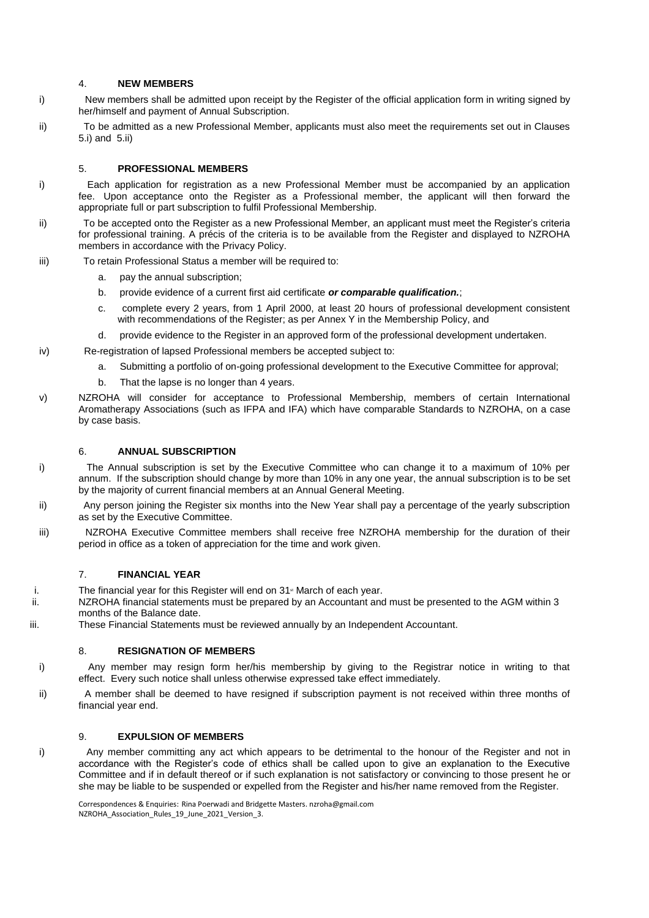#### 4. **NEW MEMBERS**

- i) New members shall be admitted upon receipt by the Register of the official application form in writing signed by her/himself and payment of Annual Subscription.
- ii) To be admitted as a new Professional Member, applicants must also meet the requirements set out in Clauses 5.i) and 5.ii)

### 5. **PROFESSIONAL MEMBERS**

- i) Each application for registration as a new Professional Member must be accompanied by an application fee. Upon acceptance onto the Register as a Professional member, the applicant will then forward the appropriate full or part subscription to fulfil Professional Membership.
- ii) To be accepted onto the Register as a new Professional Member, an applicant must meet the Register's criteria for professional training. A précis of the criteria is to be available from the Register and displayed to NZROHA members in accordance with the Privacy Policy.
- iii) To retain Professional Status a member will be required to:
	- a. pay the annual subscription;
	- b. provide evidence of a current first aid certificate *or comparable qualification.*;
	- c. complete every 2 years, from 1 April 2000, at least 20 hours of professional development consistent with recommendations of the Register; as per Annex Y in the Membership Policy, and
	- d. provide evidence to the Register in an approved form of the professional development undertaken.
- iv) Re-registration of lapsed Professional members be accepted subject to:
	- a. Submitting a portfolio of on-going professional development to the Executive Committee for approval;
	- b. That the lapse is no longer than 4 years.
- v) NZROHA will consider for acceptance to Professional Membership, members of certain International Aromatherapy Associations (such as IFPA and IFA) which have comparable Standards to NZROHA, on a case by case basis.

# 6. **ANNUAL SUBSCRIPTION**

- i) The Annual subscription is set by the Executive Committee who can change it to a maximum of 10% per annum. If the subscription should change by more than 10% in any one year, the annual subscription is to be set by the majority of current financial members at an Annual General Meeting.
- ii) Any person joining the Register six months into the New Year shall pay a percentage of the yearly subscription as set by the Executive Committee.
- iii) NZROHA Executive Committee members shall receive free NZROHA membership for the duration of their period in office as a token of appreciation for the time and work given.

#### 7. **FINANCIAL YEAR**

- i. The financial year for this Register will end on  $31$ <sup>\*</sup> March of each year.
- ii. NZROHA financial statements must be prepared by an Accountant and must be presented to the AGM within 3 months of the Balance date.
- iii. These Financial Statements must be reviewed annually by an Independent Accountant.

# 8. **RESIGNATION OF MEMBERS**

- i) Any member may resign form her/his membership by giving to the Registrar notice in writing to that effect. Every such notice shall unless otherwise expressed take effect immediately.
- ii) A member shall be deemed to have resigned if subscription payment is not received within three months of financial year end.

# 9. **EXPULSION OF MEMBERS**

i) Any member committing any act which appears to be detrimental to the honour of the Register and not in accordance with the Register's code of ethics shall be called upon to give an explanation to the Executive Committee and if in default thereof or if such explanation is not satisfactory or convincing to those present he or she may be liable to be suspended or expelled from the Register and his/her name removed from the Register.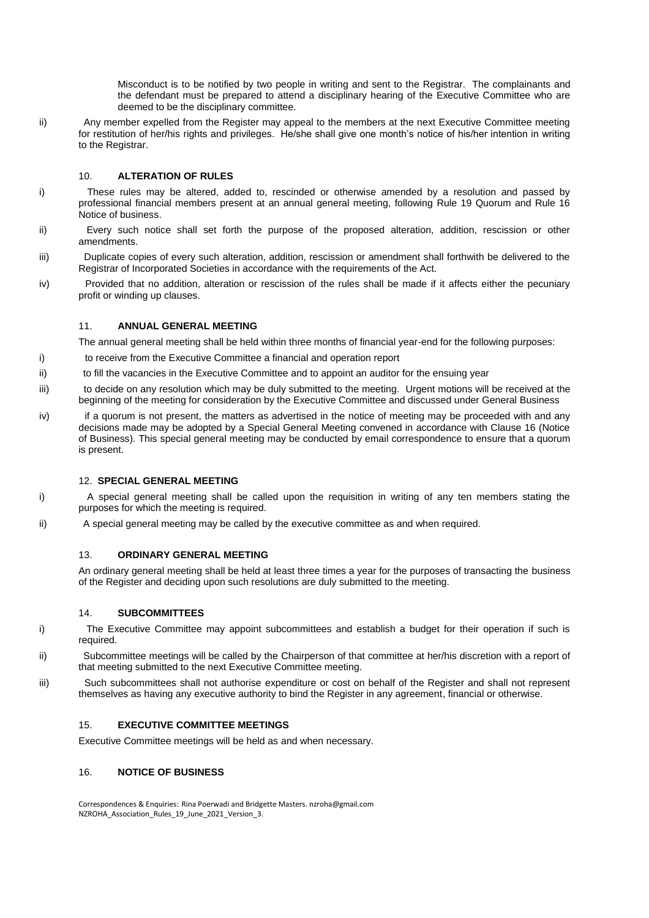Misconduct is to be notified by two people in writing and sent to the Registrar. The complainants and the defendant must be prepared to attend a disciplinary hearing of the Executive Committee who are deemed to be the disciplinary committee.

ii) Any member expelled from the Register may appeal to the members at the next Executive Committee meeting for restitution of her/his rights and privileges. He/she shall give one month's notice of his/her intention in writing to the Registrar.

### 10. **ALTERATION OF RULES**

- i) These rules may be altered, added to, rescinded or otherwise amended by a resolution and passed by professional financial members present at an annual general meeting, following Rule 19 Quorum and Rule 16 Notice of business.
- ii) Every such notice shall set forth the purpose of the proposed alteration, addition, rescission or other amendments.
- iii) Duplicate copies of every such alteration, addition, rescission or amendment shall forthwith be delivered to the Registrar of Incorporated Societies in accordance with the requirements of the Act.
- iv) Provided that no addition, alteration or rescission of the rules shall be made if it affects either the pecuniary profit or winding up clauses.

### 11. **ANNUAL GENERAL MEETING**

The annual general meeting shall be held within three months of financial year-end for the following purposes:

- i) to receive from the Executive Committee a financial and operation report
- ii) to fill the vacancies in the Executive Committee and to appoint an auditor for the ensuing year
- iii) to decide on any resolution which may be duly submitted to the meeting. Urgent motions will be received at the beginning of the meeting for consideration by the Executive Committee and discussed under General Business
- iv) if a quorum is not present, the matters as advertised in the notice of meeting may be proceeded with and any decisions made may be adopted by a Special General Meeting convened in accordance with Clause 16 (Notice of Business). This special general meeting may be conducted by email correspondence to ensure that a quorum is present.

#### 12. **SPECIAL GENERAL MEETING**

- i) A special general meeting shall be called upon the requisition in writing of any ten members stating the purposes for which the meeting is required.
- ii) A special general meeting may be called by the executive committee as and when required.

# 13. **ORDINARY GENERAL MEETING**

An ordinary general meeting shall be held at least three times a year for the purposes of transacting the business of the Register and deciding upon such resolutions are duly submitted to the meeting.

### 14. **SUBCOMMITTEES**

- i) The Executive Committee may appoint subcommittees and establish a budget for their operation if such is required.
- ii) Subcommittee meetings will be called by the Chairperson of that committee at her/his discretion with a report of that meeting submitted to the next Executive Committee meeting.
- iii) Such subcommittees shall not authorise expenditure or cost on behalf of the Register and shall not represent themselves as having any executive authority to bind the Register in any agreement, financial or otherwise.

#### 15. **EXECUTIVE COMMITTEE MEETINGS**

Executive Committee meetings will be held as and when necessary.

#### 16. **NOTICE OF BUSINESS**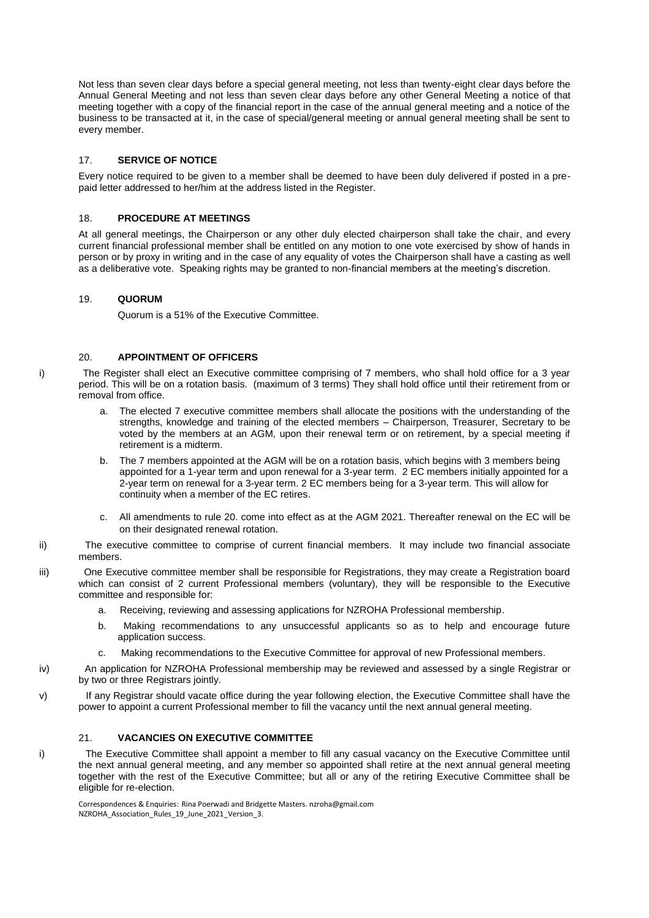Not less than seven clear days before a special general meeting, not less than twenty-eight clear days before the Annual General Meeting and not less than seven clear days before any other General Meeting a notice of that meeting together with a copy of the financial report in the case of the annual general meeting and a notice of the business to be transacted at it, in the case of special/general meeting or annual general meeting shall be sent to every member.

### 17. **SERVICE OF NOTICE**

Every notice required to be given to a member shall be deemed to have been duly delivered if posted in a prepaid letter addressed to her/him at the address listed in the Register.

### 18. **PROCEDURE AT MEETINGS**

At all general meetings, the Chairperson or any other duly elected chairperson shall take the chair, and every current financial professional member shall be entitled on any motion to one vote exercised by show of hands in person or by proxy in writing and in the case of any equality of votes the Chairperson shall have a casting as well as a deliberative vote. Speaking rights may be granted to non-financial members at the meeting's discretion.

#### 19. **QUORUM**

Quorum is a 51% of the Executive Committee.

### 20. **APPOINTMENT OF OFFICERS**

i) The Register shall elect an Executive committee comprising of 7 members, who shall hold office for a 3 year period. This will be on a rotation basis. (maximum of 3 terms) They shall hold office until their retirement from or removal from office.

- a. The elected 7 executive committee members shall allocate the positions with the understanding of the strengths, knowledge and training of the elected members – Chairperson, Treasurer, Secretary to be voted by the members at an AGM, upon their renewal term or on retirement, by a special meeting if retirement is a midterm.
- b. The 7 members appointed at the AGM will be on a rotation basis, which begins with 3 members being appointed for a 1-year term and upon renewal for a 3-year term. 2 EC members initially appointed for a 2-year term on renewal for a 3-year term. 2 EC members being for a 3-year term. This will allow for continuity when a member of the EC retires.
- c. All amendments to rule 20. come into effect as at the AGM 2021. Thereafter renewal on the EC will be on their designated renewal rotation*.*
- ii) The executive committee to comprise of current financial members. It may include two financial associate members.
- iii) One Executive committee member shall be responsible for Registrations, they may create a Registration board which can consist of 2 current Professional members (voluntary), they will be responsible to the Executive committee and responsible for:
	- a. Receiving, reviewing and assessing applications for NZROHA Professional membership.
	- b. Making recommendations to any unsuccessful applicants so as to help and encourage future application success.
	- c. Making recommendations to the Executive Committee for approval of new Professional members.
- iv) An application for NZROHA Professional membership may be reviewed and assessed by a single Registrar or by two or three Registrars jointly.
- v) If any Registrar should vacate office during the year following election, the Executive Committee shall have the power to appoint a current Professional member to fill the vacancy until the next annual general meeting.

### 21. **VACANCIES ON EXECUTIVE COMMITTEE**

i) The Executive Committee shall appoint a member to fill any casual vacancy on the Executive Committee until the next annual general meeting, and any member so appointed shall retire at the next annual general meeting together with the rest of the Executive Committee; but all or any of the retiring Executive Committee shall be eligible for re-election.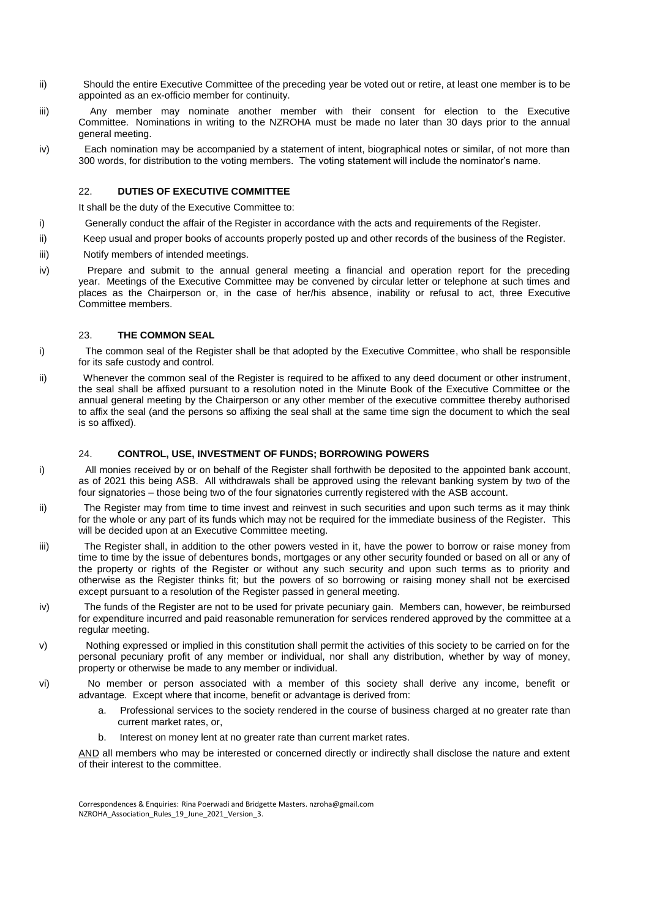- ii) Should the entire Executive Committee of the preceding year be voted out or retire, at least one member is to be appointed as an ex-officio member for continuity.
- iii) Any member may nominate another member with their consent for election to the Executive Committee. Nominations in writing to the NZROHA must be made no later than 30 days prior to the annual general meeting.
- iv) Each nomination may be accompanied by a statement of intent, biographical notes or similar, of not more than 300 words, for distribution to the voting members. The voting statement will include the nominator's name.

#### 22. **DUTIES OF EXECUTIVE COMMITTEE**

It shall be the duty of the Executive Committee to:

- i) Generally conduct the affair of the Register in accordance with the acts and requirements of the Register.
- ii) Keep usual and proper books of accounts properly posted up and other records of the business of the Register.
- iii) Notify members of intended meetings.
- iv) Prepare and submit to the annual general meeting a financial and operation report for the preceding year. Meetings of the Executive Committee may be convened by circular letter or telephone at such times and places as the Chairperson or, in the case of her/his absence, inability or refusal to act, three Executive Committee members.

#### 23. **THE COMMON SEAL**

- i) The common seal of the Register shall be that adopted by the Executive Committee, who shall be responsible for its safe custody and control.
- ii) Whenever the common seal of the Register is required to be affixed to any deed document or other instrument, the seal shall be affixed pursuant to a resolution noted in the Minute Book of the Executive Committee or the annual general meeting by the Chairperson or any other member of the executive committee thereby authorised to affix the seal (and the persons so affixing the seal shall at the same time sign the document to which the seal is so affixed).

### 24. **CONTROL, USE, INVESTMENT OF FUNDS; BORROWING POWERS**

- i) All monies received by or on behalf of the Register shall forthwith be deposited to the appointed bank account, as of 2021 this being ASB. All withdrawals shall be approved using the relevant banking system by two of the four signatories – those being two of the four signatories currently registered with the ASB account.
- ii) The Register may from time to time invest and reinvest in such securities and upon such terms as it may think for the whole or any part of its funds which may not be required for the immediate business of the Register. This will be decided upon at an Executive Committee meeting.
- iii) The Register shall, in addition to the other powers vested in it, have the power to borrow or raise money from time to time by the issue of debentures bonds, mortgages or any other security founded or based on all or any of the property or rights of the Register or without any such security and upon such terms as to priority and otherwise as the Register thinks fit; but the powers of so borrowing or raising money shall not be exercised except pursuant to a resolution of the Register passed in general meeting.
- iv) The funds of the Register are not to be used for private pecuniary gain. Members can, however, be reimbursed for expenditure incurred and paid reasonable remuneration for services rendered approved by the committee at a regular meeting.
- v) Nothing expressed or implied in this constitution shall permit the activities of this society to be carried on for the personal pecuniary profit of any member or individual, nor shall any distribution, whether by way of money, property or otherwise be made to any member or individual.
- vi) No member or person associated with a member of this society shall derive any income, benefit or advantage. Except where that income, benefit or advantage is derived from:
	- a. Professional services to the society rendered in the course of business charged at no greater rate than current market rates, or,
	- b. Interest on money lent at no greater rate than current market rates.

AND all members who may be interested or concerned directly or indirectly shall disclose the nature and extent of their interest to the committee.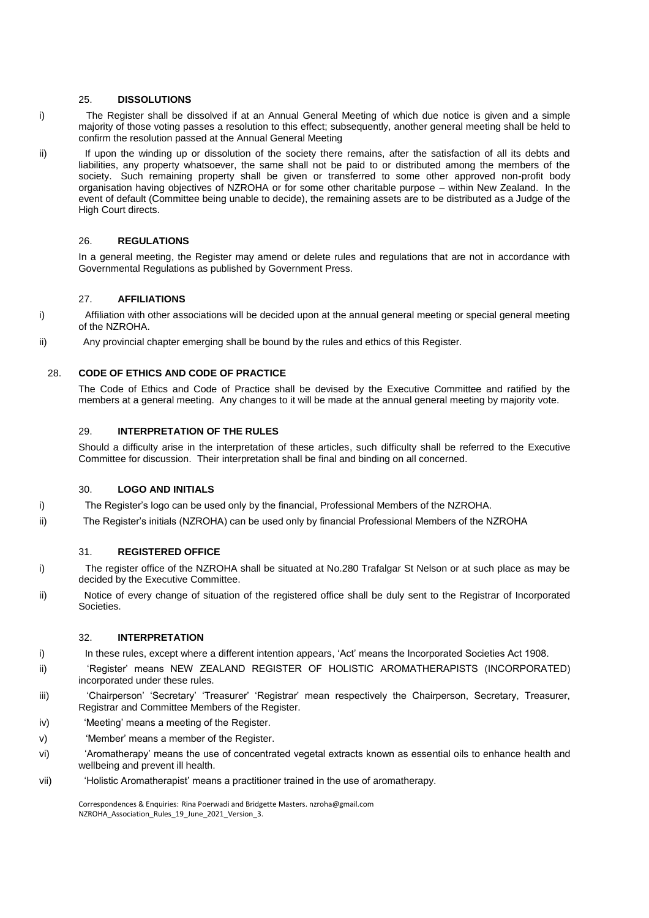#### 25. **DISSOLUTIONS**

i) The Register shall be dissolved if at an Annual General Meeting of which due notice is given and a simple majority of those voting passes a resolution to this effect; subsequently, another general meeting shall be held to confirm the resolution passed at the Annual General Meeting

ii) If upon the winding up or dissolution of the society there remains, after the satisfaction of all its debts and liabilities, any property whatsoever, the same shall not be paid to or distributed among the members of the society. Such remaining property shall be given or transferred to some other approved non-profit body organisation having objectives of NZROHA or for some other charitable purpose – within New Zealand. In the event of default (Committee being unable to decide), the remaining assets are to be distributed as a Judge of the High Court directs.

# 26. **REGULATIONS**

In a general meeting, the Register may amend or delete rules and regulations that are not in accordance with Governmental Regulations as published by Government Press.

# 27. **AFFILIATIONS**

- i) Affiliation with other associations will be decided upon at the annual general meeting or special general meeting of the NZROHA.
- ii) Any provincial chapter emerging shall be bound by the rules and ethics of this Register.

# 28. **CODE OF ETHICS AND CODE OF PRACTICE**

The Code of Ethics and Code of Practice shall be devised by the Executive Committee and ratified by the members at a general meeting. Any changes to it will be made at the annual general meeting by majority vote.

# 29. **INTERPRETATION OF THE RULES**

Should a difficulty arise in the interpretation of these articles, such difficulty shall be referred to the Executive Committee for discussion. Their interpretation shall be final and binding on all concerned.

# 30. **LOGO AND INITIALS**

- i) The Register's logo can be used only by the financial, Professional Members of the NZROHA.
- ii) The Register's initials (NZROHA) can be used only by financial Professional Members of the NZROHA

# 31. **REGISTERED OFFICE**

- i) The register office of the NZROHA shall be situated at No.280 Trafalgar St Nelson or at such place as may be decided by the Executive Committee.
- ii) Notice of every change of situation of the registered office shall be duly sent to the Registrar of Incorporated Societies.

### 32. **INTERPRETATION**

- i) In these rules, except where a different intention appears, 'Act' means the Incorporated Societies Act 1908.
- ii) 'Register' means NEW ZEALAND REGISTER OF HOLISTIC AROMATHERAPISTS (INCORPORATED) incorporated under these rules.
- iii) 'Chairperson' 'Secretary' 'Treasurer' 'Registrar' mean respectively the Chairperson, Secretary, Treasurer, Registrar and Committee Members of the Register.
- iv) 'Meeting' means a meeting of the Register.
- v) 'Member' means a member of the Register.
- vi) 'Aromatherapy' means the use of concentrated vegetal extracts known as essential oils to enhance health and wellbeing and prevent ill health.
- vii) 'Holistic Aromatherapist' means a practitioner trained in the use of aromatherapy.